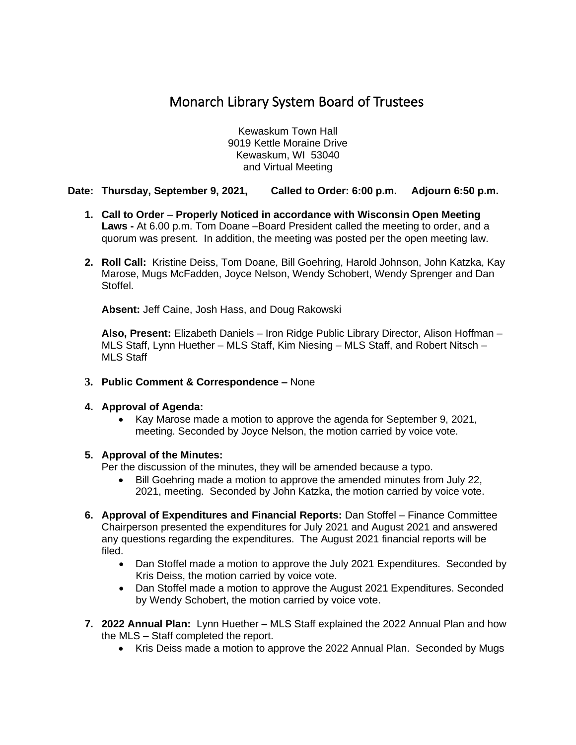# Monarch Library System Board of Trustees

Kewaskum Town Hall 9019 Kettle Moraine Drive Kewaskum, WI 53040 and Virtual Meeting

## **Date: Thursday, September 9, 2021, Called to Order: 6:00 p.m. Adjourn 6:50 p.m.**

- **1. Call to Order Properly Noticed in accordance with Wisconsin Open Meeting Laws -** At 6.00 p.m. Tom Doane –Board President called the meeting to order, and a quorum was present. In addition, the meeting was posted per the open meeting law.
- **2. Roll Call:** Kristine Deiss, Tom Doane, Bill Goehring, Harold Johnson, John Katzka, Kay Marose, Mugs McFadden, Joyce Nelson, Wendy Schobert, Wendy Sprenger and Dan Stoffel.

**Absent:** Jeff Caine, Josh Hass, and Doug Rakowski

**Also, Present:** Elizabeth Daniels – Iron Ridge Public Library Director, Alison Hoffman – MLS Staff, Lynn Huether – MLS Staff, Kim Niesing – MLS Staff, and Robert Nitsch – MLS Staff

**3. Public Comment & Correspondence –** None

### **4. Approval of Agenda:**

• Kay Marose made a motion to approve the agenda for September 9, 2021, meeting. Seconded by Joyce Nelson, the motion carried by voice vote.

### **5. Approval of the Minutes:**

Per the discussion of the minutes, they will be amended because a typo.

- Bill Goehring made a motion to approve the amended minutes from July 22, 2021, meeting. Seconded by John Katzka, the motion carried by voice vote.
- **6. Approval of Expenditures and Financial Reports:** Dan Stoffel Finance Committee Chairperson presented the expenditures for July 2021 and August 2021 and answered any questions regarding the expenditures. The August 2021 financial reports will be filed.
	- Dan Stoffel made a motion to approve the July 2021 Expenditures. Seconded by Kris Deiss, the motion carried by voice vote.
	- Dan Stoffel made a motion to approve the August 2021 Expenditures. Seconded by Wendy Schobert, the motion carried by voice vote.
- **7. 2022 Annual Plan:** Lynn Huether MLS Staff explained the 2022 Annual Plan and how the MLS – Staff completed the report.
	- Kris Deiss made a motion to approve the 2022 Annual Plan. Seconded by Mugs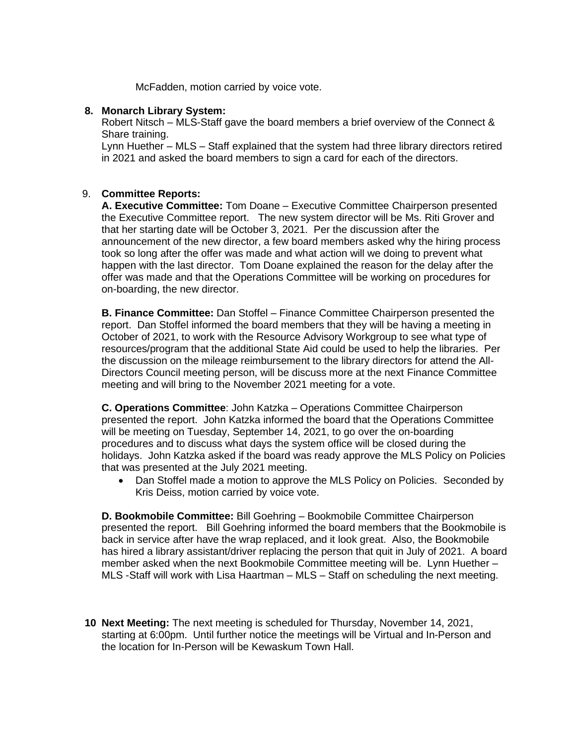McFadden, motion carried by voice vote.

### **8. Monarch Library System:**

Robert Nitsch – MLS-Staff gave the board members a brief overview of the Connect & Share training.

Lynn Huether – MLS – Staff explained that the system had three library directors retired in 2021 and asked the board members to sign a card for each of the directors.

### 9. **Committee Reports:**

**A. Executive Committee:** Tom Doane – Executive Committee Chairperson presented the Executive Committee report. The new system director will be Ms. Riti Grover and that her starting date will be October 3, 2021. Per the discussion after the announcement of the new director, a few board members asked why the hiring process took so long after the offer was made and what action will we doing to prevent what happen with the last director. Tom Doane explained the reason for the delay after the offer was made and that the Operations Committee will be working on procedures for on-boarding, the new director.

**B. Finance Committee:** Dan Stoffel – Finance Committee Chairperson presented the report. Dan Stoffel informed the board members that they will be having a meeting in October of 2021, to work with the Resource Advisory Workgroup to see what type of resources/program that the additional State Aid could be used to help the libraries. Per the discussion on the mileage reimbursement to the library directors for attend the All-Directors Council meeting person, will be discuss more at the next Finance Committee meeting and will bring to the November 2021 meeting for a vote.

**C. Operations Committee**: John Katzka – Operations Committee Chairperson presented the report. John Katzka informed the board that the Operations Committee will be meeting on Tuesday, September 14, 2021, to go over the on-boarding procedures and to discuss what days the system office will be closed during the holidays. John Katzka asked if the board was ready approve the MLS Policy on Policies that was presented at the July 2021 meeting.

• Dan Stoffel made a motion to approve the MLS Policy on Policies. Seconded by Kris Deiss, motion carried by voice vote.

**D. Bookmobile Committee:** Bill Goehring – Bookmobile Committee Chairperson presented the report. Bill Goehring informed the board members that the Bookmobile is back in service after have the wrap replaced, and it look great. Also, the Bookmobile has hired a library assistant/driver replacing the person that quit in July of 2021. A board member asked when the next Bookmobile Committee meeting will be. Lynn Huether – MLS -Staff will work with Lisa Haartman – MLS – Staff on scheduling the next meeting.

**10 Next Meeting:** The next meeting is scheduled for Thursday, November 14, 2021, starting at 6:00pm. Until further notice the meetings will be Virtual and In-Person and the location for In-Person will be Kewaskum Town Hall.